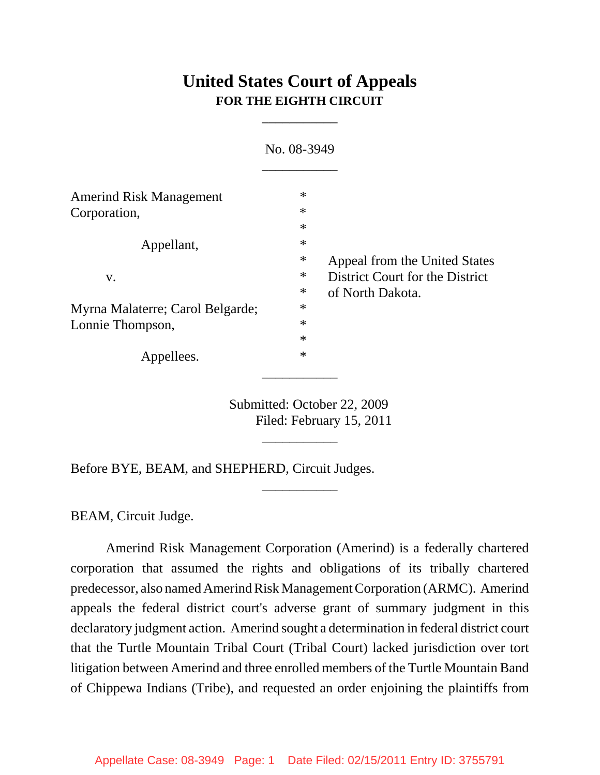# **United States Court of Appeals FOR THE EIGHTH CIRCUIT**

\_\_\_\_\_\_\_\_\_\_\_

|                                  | No. 08-3949 |                                 |
|----------------------------------|-------------|---------------------------------|
| <b>Amerind Risk Management</b>   | $\ast$      |                                 |
| Corporation,                     | $\ast$      |                                 |
|                                  | $\ast$      |                                 |
| Appellant,                       | $\ast$      |                                 |
|                                  | ∗           | Appeal from the United States   |
| V.                               | ∗           | District Court for the District |
|                                  | ∗           | of North Dakota.                |
| Myrna Malaterre; Carol Belgarde; | $\ast$      |                                 |
| Lonnie Thompson,                 | $\ast$      |                                 |
|                                  | $\ast$      |                                 |
| Appellees.                       | $\ast$      |                                 |

Submitted: October 22, 2009 Filed: February 15, 2011

\_\_\_\_\_\_\_\_\_\_\_

\_\_\_\_\_\_\_\_\_\_\_

Before BYE, BEAM, and SHEPHERD, Circuit Judges.

BEAM, Circuit Judge.

Amerind Risk Management Corporation (Amerind) is a federally chartered corporation that assumed the rights and obligations of its tribally chartered predecessor, also named Amerind Risk Management Corporation (ARMC). Amerind appeals the federal district court's adverse grant of summary judgment in this declaratory judgment action. Amerind sought a determination in federal district court that the Turtle Mountain Tribal Court (Tribal Court) lacked jurisdiction over tort litigation between Amerind and three enrolled members of the Turtle Mountain Band of Chippewa Indians (Tribe), and requested an order enjoining the plaintiffs from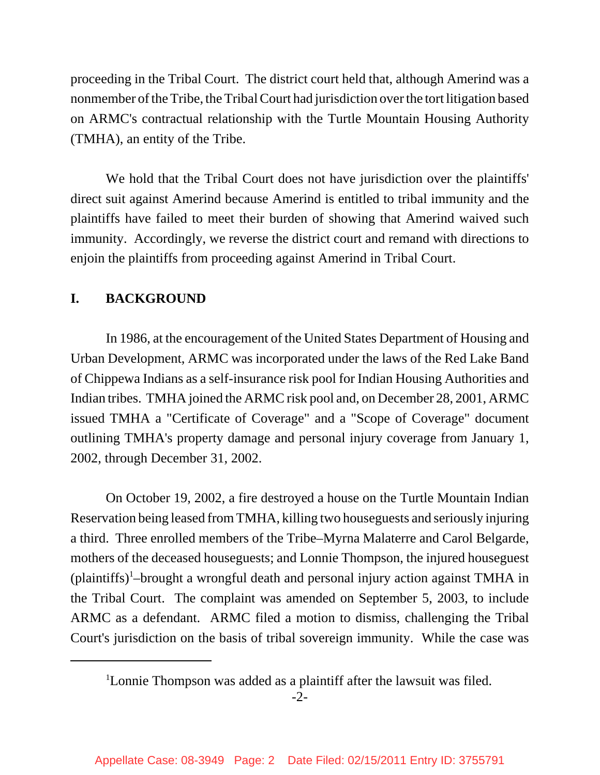proceeding in the Tribal Court. The district court held that, although Amerind was a nonmember of the Tribe, the Tribal Court had jurisdiction over the tort litigation based on ARMC's contractual relationship with the Turtle Mountain Housing Authority (TMHA), an entity of the Tribe.

We hold that the Tribal Court does not have jurisdiction over the plaintiffs' direct suit against Amerind because Amerind is entitled to tribal immunity and the plaintiffs have failed to meet their burden of showing that Amerind waived such immunity. Accordingly, we reverse the district court and remand with directions to enjoin the plaintiffs from proceeding against Amerind in Tribal Court.

## **I. BACKGROUND**

In 1986, at the encouragement of the United States Department of Housing and Urban Development, ARMC was incorporated under the laws of the Red Lake Band of Chippewa Indians as a self-insurance risk pool for Indian Housing Authorities and Indian tribes. TMHA joined the ARMC risk pool and, on December 28, 2001, ARMC issued TMHA a "Certificate of Coverage" and a "Scope of Coverage" document outlining TMHA's property damage and personal injury coverage from January 1, 2002, through December 31, 2002.

On October 19, 2002, a fire destroyed a house on the Turtle Mountain Indian Reservation being leased from TMHA, killing two houseguests and seriously injuring a third. Three enrolled members of the Tribe–Myrna Malaterre and Carol Belgarde, mothers of the deceased houseguests; and Lonnie Thompson, the injured houseguest (plaintiffs)<sup>1</sup>-brought a wrongful death and personal injury action against TMHA in the Tribal Court. The complaint was amended on September 5, 2003, to include ARMC as a defendant. ARMC filed a motion to dismiss, challenging the Tribal Court's jurisdiction on the basis of tribal sovereign immunity. While the case was

<sup>&</sup>lt;sup>1</sup>Lonnie Thompson was added as a plaintiff after the lawsuit was filed.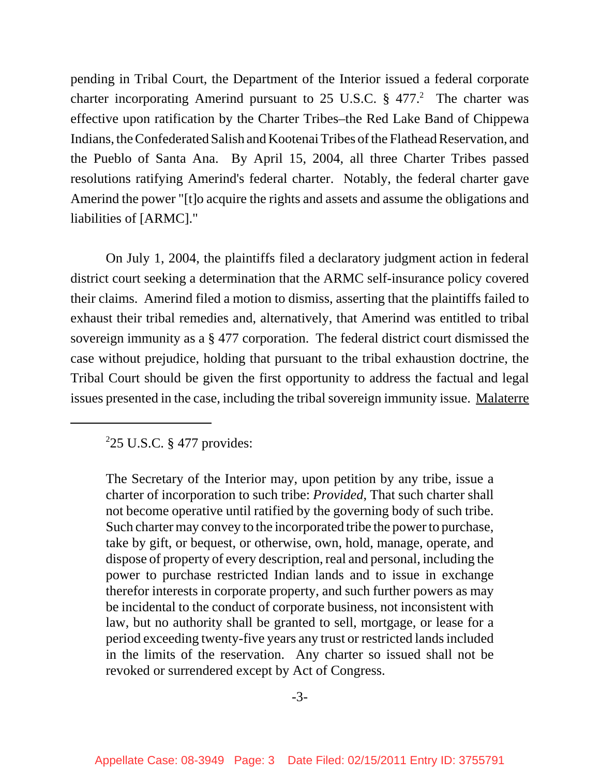pending in Tribal Court, the Department of the Interior issued a federal corporate charter incorporating Amerind pursuant to 25 U.S.C.  $\S$  477.<sup>2</sup> The charter was effective upon ratification by the Charter Tribes–the Red Lake Band of Chippewa Indians, the Confederated Salish and Kootenai Tribes of the Flathead Reservation, and the Pueblo of Santa Ana. By April 15, 2004, all three Charter Tribes passed resolutions ratifying Amerind's federal charter. Notably, the federal charter gave Amerind the power "[t]o acquire the rights and assets and assume the obligations and liabilities of [ARMC]."

 On July 1, 2004, the plaintiffs filed a declaratory judgment action in federal district court seeking a determination that the ARMC self-insurance policy covered their claims. Amerind filed a motion to dismiss, asserting that the plaintiffs failed to exhaust their tribal remedies and, alternatively, that Amerind was entitled to tribal sovereign immunity as a § 477 corporation. The federal district court dismissed the case without prejudice, holding that pursuant to the tribal exhaustion doctrine, the Tribal Court should be given the first opportunity to address the factual and legal issues presented in the case, including the tribal sovereign immunity issue. Malaterre

# $225$  U.S.C. § 477 provides:

The Secretary of the Interior may, upon petition by any tribe, issue a charter of incorporation to such tribe: *Provided*, That such charter shall not become operative until ratified by the governing body of such tribe. Such charter may convey to the incorporated tribe the power to purchase, take by gift, or bequest, or otherwise, own, hold, manage, operate, and dispose of property of every description, real and personal, including the power to purchase restricted Indian lands and to issue in exchange therefor interests in corporate property, and such further powers as may be incidental to the conduct of corporate business, not inconsistent with law, but no authority shall be granted to sell, mortgage, or lease for a period exceeding twenty-five years any trust or restricted lands included in the limits of the reservation. Any charter so issued shall not be revoked or surrendered except by Act of Congress.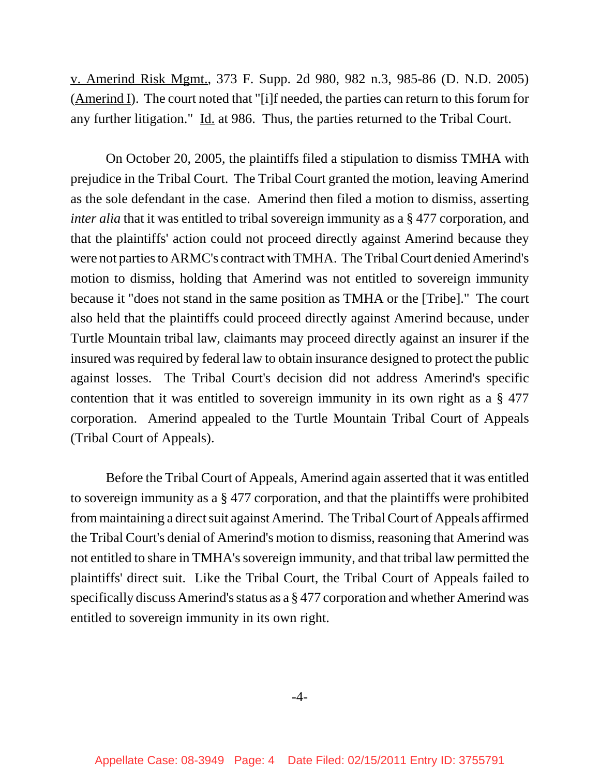v. Amerind Risk Mgmt., 373 F. Supp. 2d 980, 982 n.3, 985-86 (D. N.D. 2005) (Amerind I). The court noted that "[i]f needed, the parties can return to this forum for any further litigation." Id. at 986. Thus, the parties returned to the Tribal Court.

On October 20, 2005, the plaintiffs filed a stipulation to dismiss TMHA with prejudice in the Tribal Court. The Tribal Court granted the motion, leaving Amerind as the sole defendant in the case. Amerind then filed a motion to dismiss, asserting *inter alia* that it was entitled to tribal sovereign immunity as a § 477 corporation, and that the plaintiffs' action could not proceed directly against Amerind because they were not parties to ARMC's contract with TMHA. The Tribal Court denied Amerind's motion to dismiss, holding that Amerind was not entitled to sovereign immunity because it "does not stand in the same position as TMHA or the [Tribe]." The court also held that the plaintiffs could proceed directly against Amerind because, under Turtle Mountain tribal law, claimants may proceed directly against an insurer if the insured was required by federal law to obtain insurance designed to protect the public against losses. The Tribal Court's decision did not address Amerind's specific contention that it was entitled to sovereign immunity in its own right as a § 477 corporation. Amerind appealed to the Turtle Mountain Tribal Court of Appeals (Tribal Court of Appeals).

Before the Tribal Court of Appeals, Amerind again asserted that it was entitled to sovereign immunity as a § 477 corporation, and that the plaintiffs were prohibited from maintaining a direct suit against Amerind. The Tribal Court of Appeals affirmed the Tribal Court's denial of Amerind's motion to dismiss, reasoning that Amerind was not entitled to share in TMHA's sovereign immunity, and that tribal law permitted the plaintiffs' direct suit. Like the Tribal Court, the Tribal Court of Appeals failed to specifically discuss Amerind's status as a § 477 corporation and whether Amerind was entitled to sovereign immunity in its own right.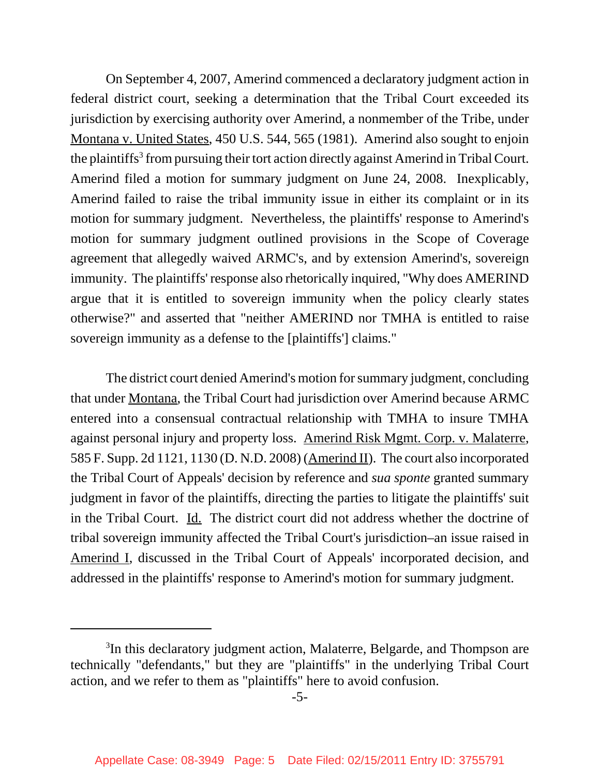On September 4, 2007, Amerind commenced a declaratory judgment action in federal district court, seeking a determination that the Tribal Court exceeded its jurisdiction by exercising authority over Amerind, a nonmember of the Tribe, under Montana v. United States, 450 U.S. 544, 565 (1981). Amerind also sought to enjoin the plaintiffs<sup>3</sup> from pursuing their tort action directly against Amerind in Tribal Court. Amerind filed a motion for summary judgment on June 24, 2008. Inexplicably, Amerind failed to raise the tribal immunity issue in either its complaint or in its motion for summary judgment. Nevertheless, the plaintiffs' response to Amerind's motion for summary judgment outlined provisions in the Scope of Coverage agreement that allegedly waived ARMC's, and by extension Amerind's, sovereign immunity. The plaintiffs' response also rhetorically inquired, "Why does AMERIND argue that it is entitled to sovereign immunity when the policy clearly states otherwise?" and asserted that "neither AMERIND nor TMHA is entitled to raise sovereign immunity as a defense to the [plaintiffs'] claims."

The district court denied Amerind's motion for summary judgment, concluding that under Montana, the Tribal Court had jurisdiction over Amerind because ARMC entered into a consensual contractual relationship with TMHA to insure TMHA against personal injury and property loss. Amerind Risk Mgmt. Corp. v. Malaterre, 585 F. Supp. 2d 1121, 1130 (D. N.D. 2008) (Amerind II). The court also incorporated the Tribal Court of Appeals' decision by reference and *sua sponte* granted summary judgment in favor of the plaintiffs, directing the parties to litigate the plaintiffs' suit in the Tribal Court. Id. The district court did not address whether the doctrine of tribal sovereign immunity affected the Tribal Court's jurisdiction–an issue raised in Amerind I, discussed in the Tribal Court of Appeals' incorporated decision, and addressed in the plaintiffs' response to Amerind's motion for summary judgment.

<sup>&</sup>lt;sup>3</sup>In this declaratory judgment action, Malaterre, Belgarde, and Thompson are technically "defendants," but they are "plaintiffs" in the underlying Tribal Court action, and we refer to them as "plaintiffs" here to avoid confusion.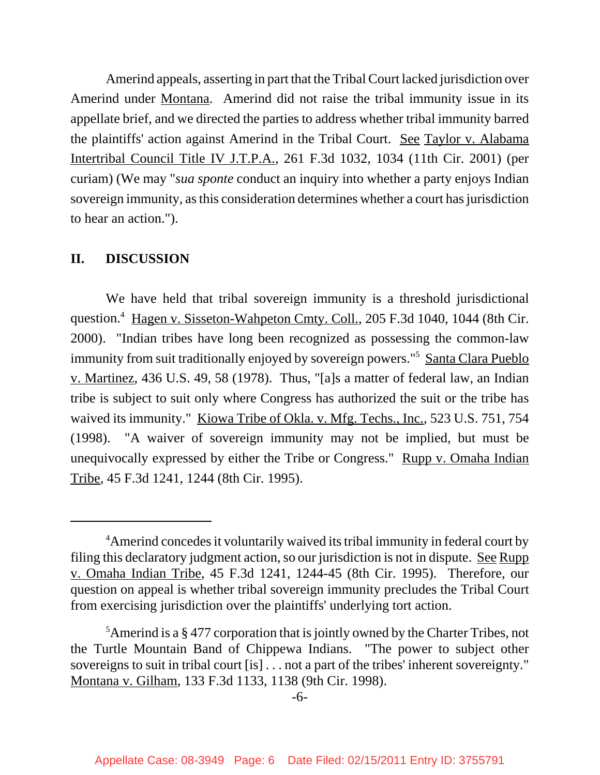Amerind appeals, asserting in part that the Tribal Court lacked jurisdiction over Amerind under Montana. Amerind did not raise the tribal immunity issue in its appellate brief, and we directed the parties to address whether tribal immunity barred the plaintiffs' action against Amerind in the Tribal Court. See Taylor v. Alabama Intertribal Council Title IV J.T.P.A., 261 F.3d 1032, 1034 (11th Cir. 2001) (per curiam) (We may "*sua sponte* conduct an inquiry into whether a party enjoys Indian sovereign immunity, as this consideration determines whether a court has jurisdiction to hear an action.").

### **II. DISCUSSION**

We have held that tribal sovereign immunity is a threshold jurisdictional question.<sup>4</sup> Hagen v. Sisseton-Wahpeton Cmty. Coll., 205 F.3d 1040, 1044 (8th Cir. 2000). "Indian tribes have long been recognized as possessing the common-law immunity from suit traditionally enjoyed by sovereign powers."<sup>5</sup> Santa Clara Pueblo v. Martinez, 436 U.S. 49, 58 (1978). Thus, "[a]s a matter of federal law, an Indian tribe is subject to suit only where Congress has authorized the suit or the tribe has waived its immunity." Kiowa Tribe of Okla. v. Mfg. Techs., Inc., 523 U.S. 751, 754 (1998). "A waiver of sovereign immunity may not be implied, but must be unequivocally expressed by either the Tribe or Congress." Rupp v. Omaha Indian Tribe, 45 F.3d 1241, 1244 (8th Cir. 1995).

<sup>&</sup>lt;sup>4</sup> Amerind concedes it voluntarily waived its tribal immunity in federal court by filing this declaratory judgment action, so our jurisdiction is not in dispute. See Rupp v. Omaha Indian Tribe, 45 F.3d 1241, 1244-45 (8th Cir. 1995). Therefore, our question on appeal is whether tribal sovereign immunity precludes the Tribal Court from exercising jurisdiction over the plaintiffs' underlying tort action.

<sup>&</sup>lt;sup>5</sup>Amerind is a § 477 corporation that is jointly owned by the Charter Tribes, not the Turtle Mountain Band of Chippewa Indians. "The power to subject other sovereigns to suit in tribal court [is] . . . not a part of the tribes' inherent sovereignty." Montana v. Gilham, 133 F.3d 1133, 1138 (9th Cir. 1998).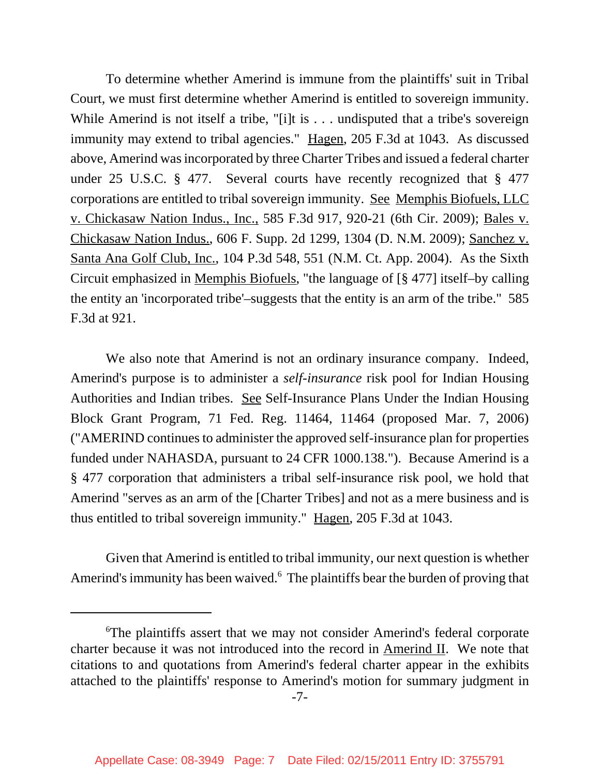To determine whether Amerind is immune from the plaintiffs' suit in Tribal Court, we must first determine whether Amerind is entitled to sovereign immunity. While Amerind is not itself a tribe, "[i]t is . . . undisputed that a tribe's sovereign immunity may extend to tribal agencies." Hagen, 205 F.3d at 1043. As discussed above, Amerind was incorporated by three Charter Tribes and issued a federal charter under 25 U.S.C. § 477. Several courts have recently recognized that § 477 corporations are entitled to tribal sovereign immunity. See Memphis Biofuels, LLC v. Chickasaw Nation Indus., Inc., 585 F.3d 917, 920-21 (6th Cir. 2009); Bales v. Chickasaw Nation Indus., 606 F. Supp. 2d 1299, 1304 (D. N.M. 2009); Sanchez v. Santa Ana Golf Club, Inc., 104 P.3d 548, 551 (N.M. Ct. App. 2004). As the Sixth Circuit emphasized in Memphis Biofuels, "the language of [§ 477] itself–by calling the entity an 'incorporated tribe'–suggests that the entity is an arm of the tribe." 585 F.3d at 921.

We also note that Amerind is not an ordinary insurance company. Indeed, Amerind's purpose is to administer a *self-insurance* risk pool for Indian Housing Authorities and Indian tribes. See Self-Insurance Plans Under the Indian Housing Block Grant Program, 71 Fed. Reg. 11464, 11464 (proposed Mar. 7, 2006) ("AMERIND continues to administer the approved self-insurance plan for properties funded under NAHASDA, pursuant to 24 CFR 1000.138."). Because Amerind is a § 477 corporation that administers a tribal self-insurance risk pool, we hold that Amerind "serves as an arm of the [Charter Tribes] and not as a mere business and is thus entitled to tribal sovereign immunity." Hagen, 205 F.3d at 1043.

Given that Amerind is entitled to tribal immunity, our next question is whether Amerind's immunity has been waived.<sup>6</sup> The plaintiffs bear the burden of proving that

<sup>6</sup> The plaintiffs assert that we may not consider Amerind's federal corporate charter because it was not introduced into the record in Amerind II. We note that citations to and quotations from Amerind's federal charter appear in the exhibits attached to the plaintiffs' response to Amerind's motion for summary judgment in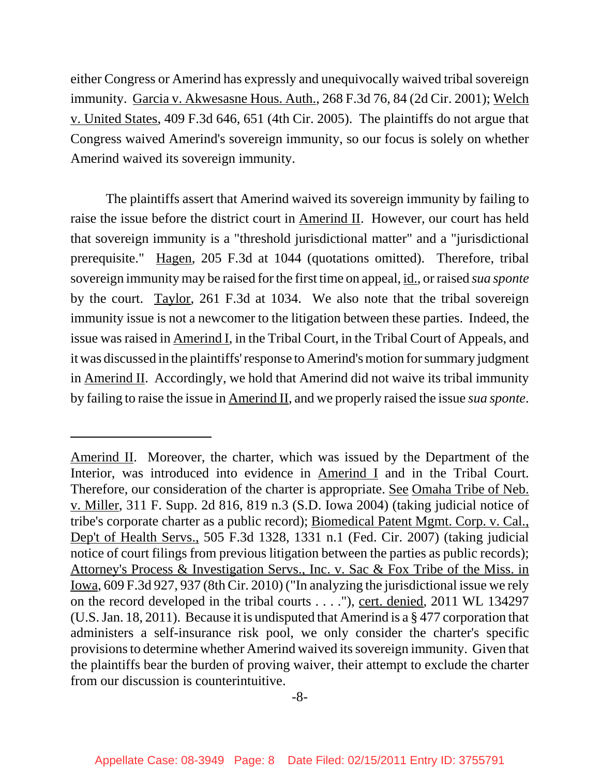either Congress or Amerind has expressly and unequivocally waived tribal sovereign immunity. Garcia v. Akwesasne Hous. Auth., 268 F.3d 76, 84 (2d Cir. 2001); Welch v. United States, 409 F.3d 646, 651 (4th Cir. 2005). The plaintiffs do not argue that Congress waived Amerind's sovereign immunity, so our focus is solely on whether Amerind waived its sovereign immunity.

The plaintiffs assert that Amerind waived its sovereign immunity by failing to raise the issue before the district court in Amerind II. However, our court has held that sovereign immunity is a "threshold jurisdictional matter" and a "jurisdictional prerequisite." Hagen, 205 F.3d at 1044 (quotations omitted). Therefore, tribal sovereign immunity may be raised for the first time on appeal, id., or raised *sua sponte* by the court. Taylor, 261 F.3d at 1034. We also note that the tribal sovereign immunity issue is not a newcomer to the litigation between these parties. Indeed, the issue was raised in Amerind I, in the Tribal Court, in the Tribal Court of Appeals, and it was discussed in the plaintiffs' response to Amerind's motion for summary judgment in Amerind II. Accordingly, we hold that Amerind did not waive its tribal immunity by failing to raise the issue in Amerind II, and we properly raised the issue *sua sponte*.

Amerind II. Moreover, the charter, which was issued by the Department of the Interior, was introduced into evidence in Amerind I and in the Tribal Court. Therefore, our consideration of the charter is appropriate. See Omaha Tribe of Neb. v. Miller, 311 F. Supp. 2d 816, 819 n.3 (S.D. Iowa 2004) (taking judicial notice of tribe's corporate charter as a public record); Biomedical Patent Mgmt. Corp. v. Cal., Dep't of Health Servs., 505 F.3d 1328, 1331 n.1 (Fed. Cir. 2007) (taking judicial notice of court filings from previous litigation between the parties as public records); Attorney's Process & Investigation Servs., Inc. v. Sac & Fox Tribe of the Miss. in Iowa, 609 F.3d 927, 937 (8th Cir. 2010) ("In analyzing the jurisdictional issue we rely on the record developed in the tribal courts . . . ."), cert. denied, 2011 WL 134297 (U.S. Jan. 18, 2011). Because it is undisputed that Amerind is a § 477 corporation that administers a self-insurance risk pool, we only consider the charter's specific provisions to determine whether Amerind waived its sovereign immunity. Given that the plaintiffs bear the burden of proving waiver, their attempt to exclude the charter from our discussion is counterintuitive.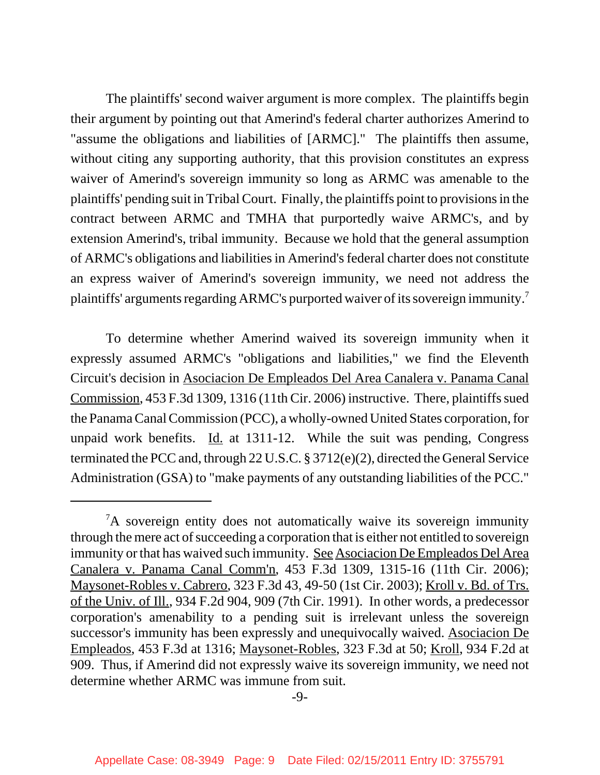The plaintiffs' second waiver argument is more complex. The plaintiffs begin their argument by pointing out that Amerind's federal charter authorizes Amerind to "assume the obligations and liabilities of [ARMC]." The plaintiffs then assume, without citing any supporting authority, that this provision constitutes an express waiver of Amerind's sovereign immunity so long as ARMC was amenable to the plaintiffs' pending suit in Tribal Court. Finally, the plaintiffs point to provisions in the contract between ARMC and TMHA that purportedly waive ARMC's, and by extension Amerind's, tribal immunity. Because we hold that the general assumption of ARMC's obligations and liabilities in Amerind's federal charter does not constitute an express waiver of Amerind's sovereign immunity, we need not address the plaintiffs' arguments regarding ARMC's purported waiver of its sovereign immunity.7

To determine whether Amerind waived its sovereign immunity when it expressly assumed ARMC's "obligations and liabilities," we find the Eleventh Circuit's decision in Asociacion De Empleados Del Area Canalera v. Panama Canal Commission, 453 F.3d 1309, 1316 (11th Cir. 2006) instructive. There, plaintiffs sued the Panama Canal Commission (PCC), a wholly-owned United States corporation, for unpaid work benefits. Id. at 1311-12. While the suit was pending, Congress terminated the PCC and, through 22 U.S.C. § 3712(e)(2), directed the General Service Administration (GSA) to "make payments of any outstanding liabilities of the PCC."

<sup>&</sup>lt;sup>7</sup>A sovereign entity does not automatically waive its sovereign immunity through the mere act of succeeding a corporation that is either not entitled to sovereign immunity or that has waived such immunity. See Asociacion De Empleados Del Area Canalera v. Panama Canal Comm'n, 453 F.3d 1309, 1315-16 (11th Cir. 2006); Maysonet-Robles v. Cabrero, 323 F.3d 43, 49-50 (1st Cir. 2003); Kroll v. Bd. of Trs. of the Univ. of Ill., 934 F.2d 904, 909 (7th Cir. 1991). In other words, a predecessor corporation's amenability to a pending suit is irrelevant unless the sovereign successor's immunity has been expressly and unequivocally waived. Asociacion De Empleados, 453 F.3d at 1316; Maysonet-Robles, 323 F.3d at 50; Kroll, 934 F.2d at 909. Thus, if Amerind did not expressly waive its sovereign immunity, we need not determine whether ARMC was immune from suit.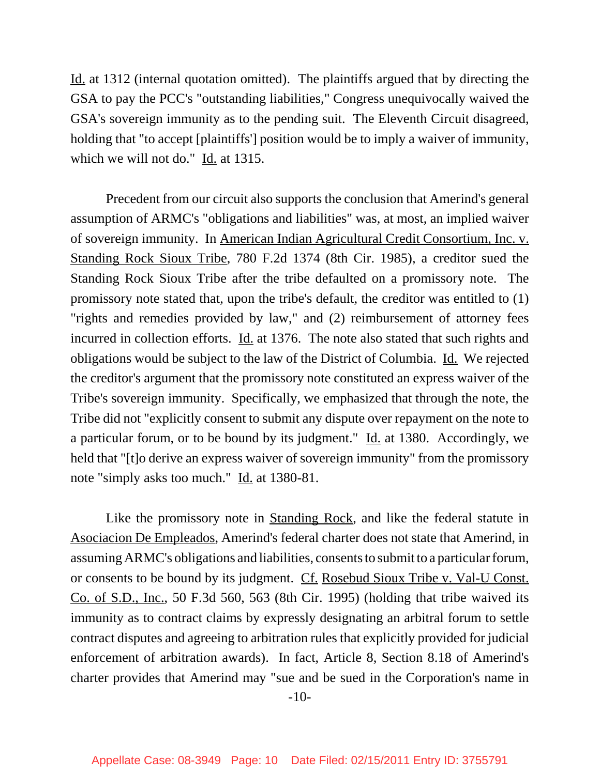Id. at 1312 (internal quotation omitted). The plaintiffs argued that by directing the GSA to pay the PCC's "outstanding liabilities," Congress unequivocally waived the GSA's sovereign immunity as to the pending suit. The Eleventh Circuit disagreed, holding that "to accept [plaintiffs'] position would be to imply a waiver of immunity, which we will not do." Id. at 1315.

Precedent from our circuit also supports the conclusion that Amerind's general assumption of ARMC's "obligations and liabilities" was, at most, an implied waiver of sovereign immunity. In American Indian Agricultural Credit Consortium, Inc. v. Standing Rock Sioux Tribe, 780 F.2d 1374 (8th Cir. 1985), a creditor sued the Standing Rock Sioux Tribe after the tribe defaulted on a promissory note. The promissory note stated that, upon the tribe's default, the creditor was entitled to (1) "rights and remedies provided by law," and (2) reimbursement of attorney fees incurred in collection efforts. Id. at 1376. The note also stated that such rights and obligations would be subject to the law of the District of Columbia. Id. We rejected the creditor's argument that the promissory note constituted an express waiver of the Tribe's sovereign immunity. Specifically, we emphasized that through the note, the Tribe did not "explicitly consent to submit any dispute over repayment on the note to a particular forum, or to be bound by its judgment." Id. at 1380. Accordingly, we held that "[t]o derive an express waiver of sovereign immunity" from the promissory note "simply asks too much." Id. at 1380-81.

Like the promissory note in Standing Rock, and like the federal statute in Asociacion De Empleados, Amerind's federal charter does not state that Amerind, in assuming ARMC's obligations and liabilities, consents to submit to a particular forum, or consents to be bound by its judgment. Cf. Rosebud Sioux Tribe v. Val-U Const. Co. of S.D., Inc., 50 F.3d 560, 563 (8th Cir. 1995) (holding that tribe waived its immunity as to contract claims by expressly designating an arbitral forum to settle contract disputes and agreeing to arbitration rules that explicitly provided for judicial enforcement of arbitration awards). In fact, Article 8, Section 8.18 of Amerind's charter provides that Amerind may "sue and be sued in the Corporation's name in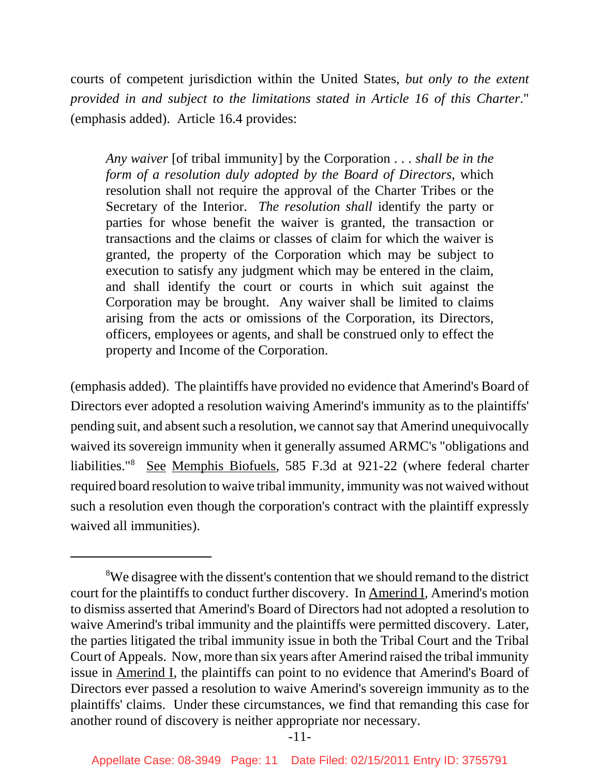courts of competent jurisdiction within the United States, *but only to the extent provided in and subject to the limitations stated in Article 16 of this Charter*." (emphasis added). Article 16.4 provides:

*Any waiver* [of tribal immunity] by the Corporation . . . *shall be in the form of a resolution duly adopted by the Board of Directors*, which resolution shall not require the approval of the Charter Tribes or the Secretary of the Interior. *The resolution shall* identify the party or parties for whose benefit the waiver is granted, the transaction or transactions and the claims or classes of claim for which the waiver is granted, the property of the Corporation which may be subject to execution to satisfy any judgment which may be entered in the claim, and shall identify the court or courts in which suit against the Corporation may be brought. Any waiver shall be limited to claims arising from the acts or omissions of the Corporation, its Directors, officers, employees or agents, and shall be construed only to effect the property and Income of the Corporation.

(emphasis added). The plaintiffs have provided no evidence that Amerind's Board of Directors ever adopted a resolution waiving Amerind's immunity as to the plaintiffs' pending suit, and absent such a resolution, we cannot say that Amerind unequivocally waived its sovereign immunity when it generally assumed ARMC's "obligations and liabilities."<sup>8</sup> See Memphis Biofuels, 585 F.3d at 921-22 (where federal charter required board resolution to waive tribal immunity, immunity was not waived without such a resolution even though the corporation's contract with the plaintiff expressly waived all immunities).

<sup>&</sup>lt;sup>8</sup>We disagree with the dissent's contention that we should remand to the district court for the plaintiffs to conduct further discovery. In Amerind I, Amerind's motion to dismiss asserted that Amerind's Board of Directors had not adopted a resolution to waive Amerind's tribal immunity and the plaintiffs were permitted discovery. Later, the parties litigated the tribal immunity issue in both the Tribal Court and the Tribal Court of Appeals. Now, more than six years after Amerind raised the tribal immunity issue in Amerind I, the plaintiffs can point to no evidence that Amerind's Board of Directors ever passed a resolution to waive Amerind's sovereign immunity as to the plaintiffs' claims. Under these circumstances, we find that remanding this case for another round of discovery is neither appropriate nor necessary.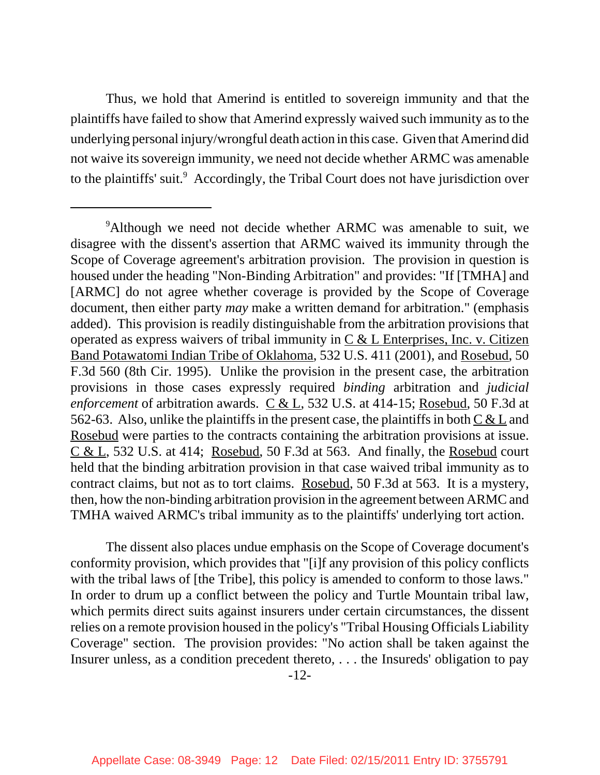Thus, we hold that Amerind is entitled to sovereign immunity and that the plaintiffs have failed to show that Amerind expressly waived such immunity as to the underlying personal injury/wrongful death action in this case. Given that Amerind did not waive its sovereign immunity, we need not decide whether ARMC was amenable to the plaintiffs' suit.<sup>9</sup> Accordingly, the Tribal Court does not have jurisdiction over

The dissent also places undue emphasis on the Scope of Coverage document's conformity provision, which provides that "[i]f any provision of this policy conflicts with the tribal laws of [the Tribe], this policy is amended to conform to those laws." In order to drum up a conflict between the policy and Turtle Mountain tribal law, which permits direct suits against insurers under certain circumstances, the dissent relies on a remote provision housed in the policy's "Tribal Housing Officials Liability Coverage" section. The provision provides: "No action shall be taken against the Insurer unless, as a condition precedent thereto, . . . the Insureds' obligation to pay

<sup>&</sup>lt;sup>9</sup>Although we need not decide whether ARMC was amenable to suit, we disagree with the dissent's assertion that ARMC waived its immunity through the Scope of Coverage agreement's arbitration provision. The provision in question is housed under the heading "Non-Binding Arbitration" and provides: "If [TMHA] and [ARMC] do not agree whether coverage is provided by the Scope of Coverage document, then either party *may* make a written demand for arbitration." (emphasis added). This provision is readily distinguishable from the arbitration provisions that operated as express waivers of tribal immunity in  $C & L$  Enterprises, Inc. v. Citizen Band Potawatomi Indian Tribe of Oklahoma, 532 U.S. 411 (2001), and Rosebud, 50 F.3d 560 (8th Cir. 1995). Unlike the provision in the present case, the arbitration provisions in those cases expressly required *binding* arbitration and *judicial enforcement* of arbitration awards. C & L, 532 U.S. at 414-15; Rosebud, 50 F.3d at 562-63. Also, unlike the plaintiffs in the present case, the plaintiffs in both  $C & L$  and Rosebud were parties to the contracts containing the arbitration provisions at issue.  $C & L$ , 532 U.S. at 414; Rosebud, 50 F.3d at 563. And finally, the Rosebud court held that the binding arbitration provision in that case waived tribal immunity as to contract claims, but not as to tort claims. Rosebud, 50 F.3d at 563. It is a mystery, then, how the non-binding arbitration provision in the agreement between ARMC and TMHA waived ARMC's tribal immunity as to the plaintiffs' underlying tort action.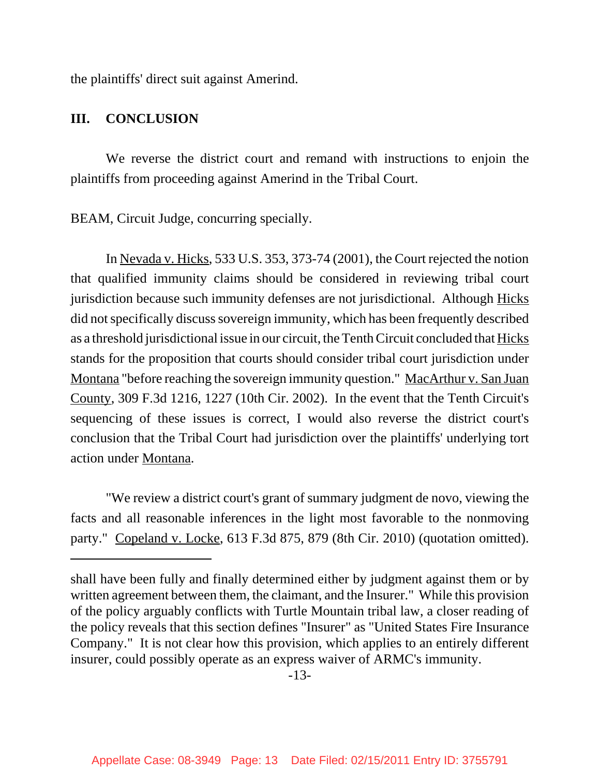the plaintiffs' direct suit against Amerind.

#### **III. CONCLUSION**

We reverse the district court and remand with instructions to enjoin the plaintiffs from proceeding against Amerind in the Tribal Court.

BEAM, Circuit Judge, concurring specially.

In Nevada v. Hicks, 533 U.S. 353, 373-74 (2001), the Court rejected the notion that qualified immunity claims should be considered in reviewing tribal court jurisdiction because such immunity defenses are not jurisdictional. Although Hicks did not specifically discuss sovereign immunity, which has been frequently described as a threshold jurisdictional issue in our circuit, the Tenth Circuit concluded that Hicks stands for the proposition that courts should consider tribal court jurisdiction under Montana "before reaching the sovereign immunity question." MacArthur v. San Juan County, 309 F.3d 1216, 1227 (10th Cir. 2002). In the event that the Tenth Circuit's sequencing of these issues is correct, I would also reverse the district court's conclusion that the Tribal Court had jurisdiction over the plaintiffs' underlying tort action under Montana.

"We review a district court's grant of summary judgment de novo, viewing the facts and all reasonable inferences in the light most favorable to the nonmoving party." Copeland v. Locke, 613 F.3d 875, 879 (8th Cir. 2010) (quotation omitted).

shall have been fully and finally determined either by judgment against them or by written agreement between them, the claimant, and the Insurer." While this provision of the policy arguably conflicts with Turtle Mountain tribal law, a closer reading of the policy reveals that this section defines "Insurer" as "United States Fire Insurance Company." It is not clear how this provision, which applies to an entirely different insurer, could possibly operate as an express waiver of ARMC's immunity.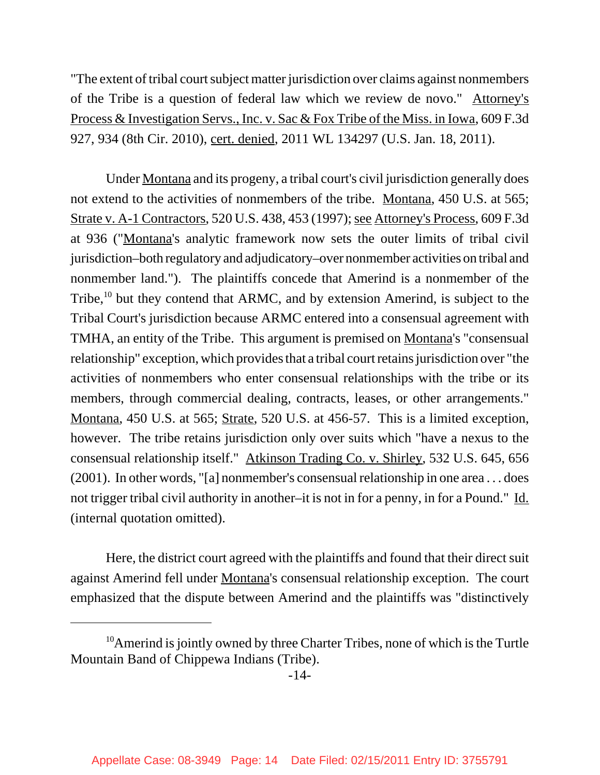"The extent of tribal court subject matter jurisdiction over claims against nonmembers of the Tribe is a question of federal law which we review de novo." Attorney's Process & Investigation Servs., Inc. v. Sac & Fox Tribe of the Miss. in Iowa, 609 F.3d 927, 934 (8th Cir. 2010), cert. denied, 2011 WL 134297 (U.S. Jan. 18, 2011).

Under Montana and its progeny, a tribal court's civil jurisdiction generally does not extend to the activities of nonmembers of the tribe. Montana, 450 U.S. at 565; Strate v. A-1 Contractors, 520 U.S. 438, 453 (1997); see Attorney's Process, 609 F.3d at 936 ("Montana's analytic framework now sets the outer limits of tribal civil jurisdiction–both regulatory and adjudicatory–over nonmember activities on tribal and nonmember land."). The plaintiffs concede that Amerind is a nonmember of the Tribe,<sup>10</sup> but they contend that ARMC, and by extension Amerind, is subject to the Tribal Court's jurisdiction because ARMC entered into a consensual agreement with TMHA, an entity of the Tribe. This argument is premised on Montana's "consensual relationship" exception, which provides that a tribal court retains jurisdiction over "the activities of nonmembers who enter consensual relationships with the tribe or its members, through commercial dealing, contracts, leases, or other arrangements." Montana, 450 U.S. at 565; Strate, 520 U.S. at 456-57. This is a limited exception, however. The tribe retains jurisdiction only over suits which "have a nexus to the consensual relationship itself." Atkinson Trading Co. v. Shirley, 532 U.S. 645, 656 (2001). In other words, "[a] nonmember's consensual relationship in one area . . . does not trigger tribal civil authority in another–it is not in for a penny, in for a Pound." Id. (internal quotation omitted).

Here, the district court agreed with the plaintiffs and found that their direct suit against Amerind fell under Montana's consensual relationship exception. The court emphasized that the dispute between Amerind and the plaintiffs was "distinctively

 $10$ Amerind is jointly owned by three Charter Tribes, none of which is the Turtle Mountain Band of Chippewa Indians (Tribe).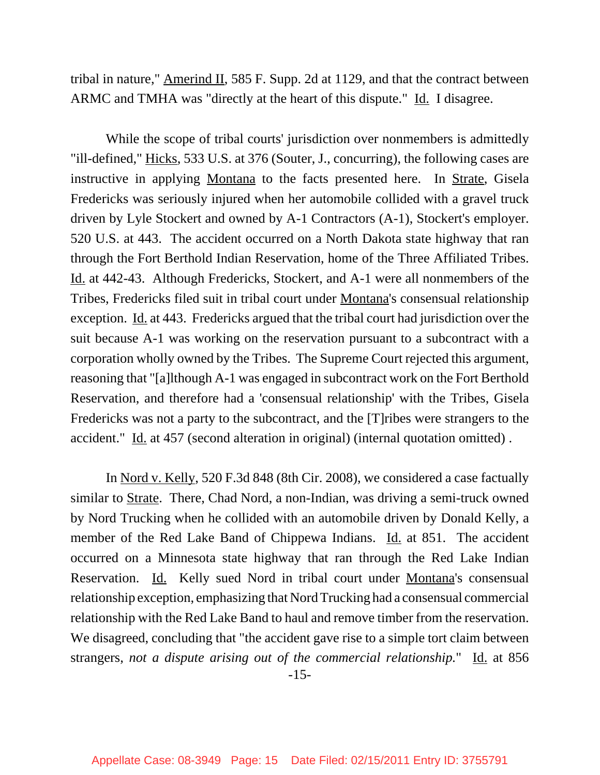tribal in nature," Amerind II, 585 F. Supp. 2d at 1129, and that the contract between ARMC and TMHA was "directly at the heart of this dispute." Id. I disagree.

While the scope of tribal courts' jurisdiction over nonmembers is admittedly "ill-defined," Hicks, 533 U.S. at 376 (Souter, J., concurring), the following cases are instructive in applying Montana to the facts presented here. In Strate, Gisela Fredericks was seriously injured when her automobile collided with a gravel truck driven by Lyle Stockert and owned by A-1 Contractors (A-1), Stockert's employer. 520 U.S. at 443. The accident occurred on a North Dakota state highway that ran through the Fort Berthold Indian Reservation, home of the Three Affiliated Tribes. Id. at 442-43. Although Fredericks, Stockert, and A-1 were all nonmembers of the Tribes, Fredericks filed suit in tribal court under Montana's consensual relationship exception. Id. at 443. Fredericks argued that the tribal court had jurisdiction over the suit because A-1 was working on the reservation pursuant to a subcontract with a corporation wholly owned by the Tribes. The Supreme Court rejected this argument, reasoning that "[a]lthough A-1 was engaged in subcontract work on the Fort Berthold Reservation, and therefore had a 'consensual relationship' with the Tribes, Gisela Fredericks was not a party to the subcontract, and the [T]ribes were strangers to the accident." Id. at 457 (second alteration in original) (internal quotation omitted).

In Nord v. Kelly, 520 F.3d 848 (8th Cir. 2008), we considered a case factually similar to <u>Strate</u>. There, Chad Nord, a non-Indian, was driving a semi-truck owned by Nord Trucking when he collided with an automobile driven by Donald Kelly, a member of the Red Lake Band of Chippewa Indians. Id. at 851. The accident occurred on a Minnesota state highway that ran through the Red Lake Indian Reservation. Id. Kelly sued Nord in tribal court under Montana's consensual relationship exception, emphasizing that Nord Trucking had a consensual commercial relationship with the Red Lake Band to haul and remove timber from the reservation. We disagreed, concluding that "the accident gave rise to a simple tort claim between strangers, *not a dispute arising out of the commercial relationship*." Id. at 856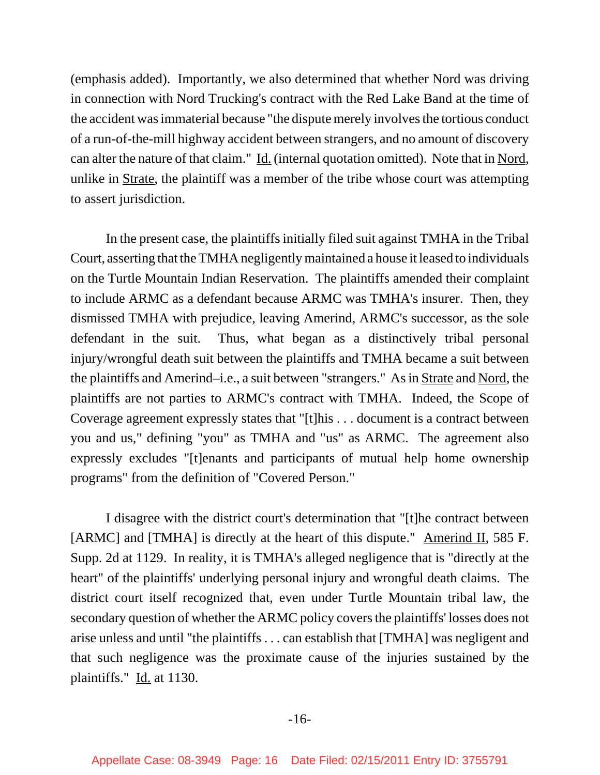(emphasis added). Importantly, we also determined that whether Nord was driving in connection with Nord Trucking's contract with the Red Lake Band at the time of the accident was immaterial because "the dispute merely involves the tortious conduct of a run-of-the-mill highway accident between strangers, and no amount of discovery can alter the nature of that claim." Id. (internal quotation omitted). Note that in Nord, unlike in Strate, the plaintiff was a member of the tribe whose court was attempting to assert jurisdiction.

In the present case, the plaintiffs initially filed suit against TMHA in the Tribal Court, asserting that the TMHA negligently maintained a house it leased to individuals on the Turtle Mountain Indian Reservation. The plaintiffs amended their complaint to include ARMC as a defendant because ARMC was TMHA's insurer. Then, they dismissed TMHA with prejudice, leaving Amerind, ARMC's successor, as the sole defendant in the suit. Thus, what began as a distinctively tribal personal injury/wrongful death suit between the plaintiffs and TMHA became a suit between the plaintiffs and Amerind–i.e., a suit between "strangers." As in Strate and Nord, the plaintiffs are not parties to ARMC's contract with TMHA. Indeed, the Scope of Coverage agreement expressly states that "[t]his . . . document is a contract between you and us," defining "you" as TMHA and "us" as ARMC. The agreement also expressly excludes "[t]enants and participants of mutual help home ownership programs" from the definition of "Covered Person."

I disagree with the district court's determination that "[t]he contract between [ARMC] and [TMHA] is directly at the heart of this dispute." Amerind II, 585 F. Supp. 2d at 1129. In reality, it is TMHA's alleged negligence that is "directly at the heart" of the plaintiffs' underlying personal injury and wrongful death claims. The district court itself recognized that, even under Turtle Mountain tribal law, the secondary question of whether the ARMC policy covers the plaintiffs' losses does not arise unless and until "the plaintiffs . . . can establish that [TMHA] was negligent and that such negligence was the proximate cause of the injuries sustained by the plaintiffs." Id. at 1130.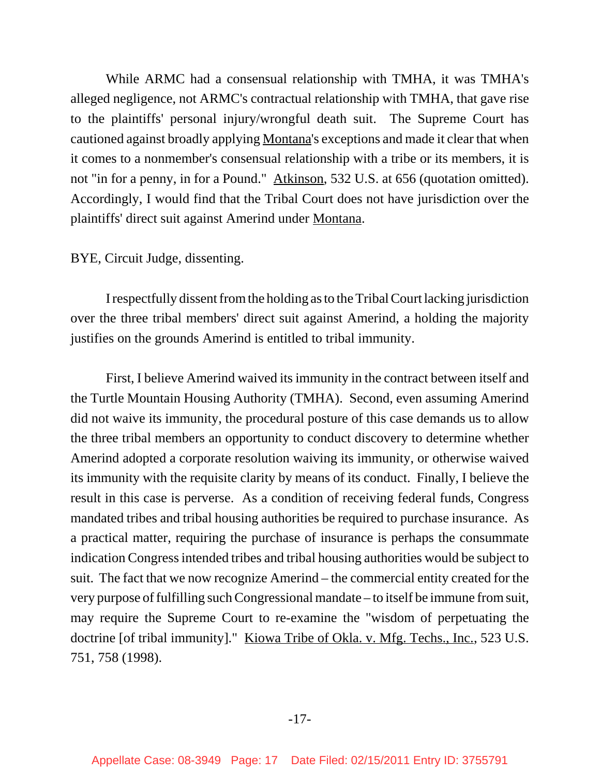While ARMC had a consensual relationship with TMHA, it was TMHA's alleged negligence, not ARMC's contractual relationship with TMHA, that gave rise to the plaintiffs' personal injury/wrongful death suit. The Supreme Court has cautioned against broadly applying Montana's exceptions and made it clear that when it comes to a nonmember's consensual relationship with a tribe or its members, it is not "in for a penny, in for a Pound." Atkinson, 532 U.S. at 656 (quotation omitted). Accordingly, I would find that the Tribal Court does not have jurisdiction over the plaintiffs' direct suit against Amerind under Montana.

#### BYE, Circuit Judge, dissenting.

I respectfully dissent from the holding as to the Tribal Court lacking jurisdiction over the three tribal members' direct suit against Amerind, a holding the majority justifies on the grounds Amerind is entitled to tribal immunity.

First, I believe Amerind waived its immunity in the contract between itself and the Turtle Mountain Housing Authority (TMHA). Second, even assuming Amerind did not waive its immunity, the procedural posture of this case demands us to allow the three tribal members an opportunity to conduct discovery to determine whether Amerind adopted a corporate resolution waiving its immunity, or otherwise waived its immunity with the requisite clarity by means of its conduct. Finally, I believe the result in this case is perverse. As a condition of receiving federal funds, Congress mandated tribes and tribal housing authorities be required to purchase insurance. As a practical matter, requiring the purchase of insurance is perhaps the consummate indication Congress intended tribes and tribal housing authorities would be subject to suit. The fact that we now recognize Amerind – the commercial entity created for the very purpose of fulfilling such Congressional mandate – to itself be immune from suit, may require the Supreme Court to re-examine the "wisdom of perpetuating the doctrine [of tribal immunity]." Kiowa Tribe of Okla. v. Mfg. Techs., Inc., 523 U.S. 751, 758 (1998).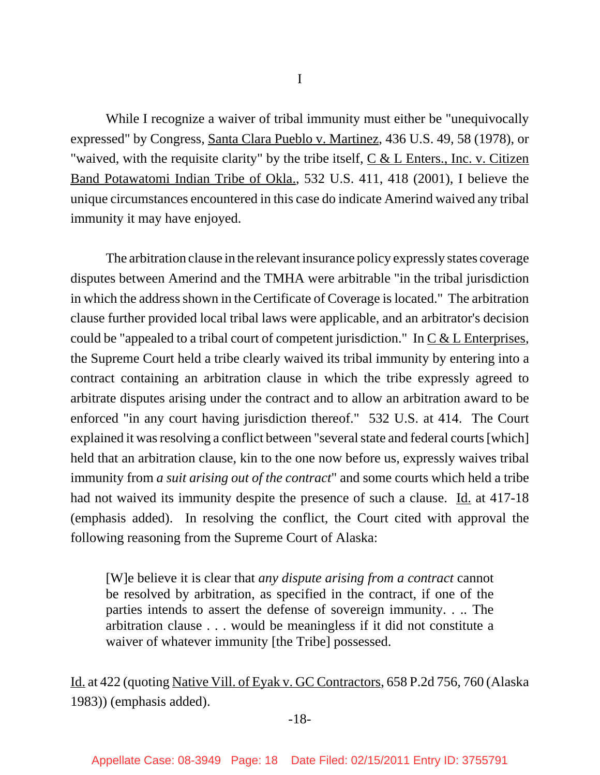I

While I recognize a waiver of tribal immunity must either be "unequivocally expressed" by Congress, Santa Clara Pueblo v. Martinez, 436 U.S. 49, 58 (1978), or "waived, with the requisite clarity" by the tribe itself,  $C & L$  Enters., Inc. v. Citizen Band Potawatomi Indian Tribe of Okla., 532 U.S. 411, 418 (2001), I believe the unique circumstances encountered in this case do indicate Amerind waived any tribal immunity it may have enjoyed.

The arbitration clause in the relevant insurance policy expressly states coverage disputes between Amerind and the TMHA were arbitrable "in the tribal jurisdiction in which the address shown in the Certificate of Coverage is located." The arbitration clause further provided local tribal laws were applicable, and an arbitrator's decision could be "appealed to a tribal court of competent jurisdiction." In  $C & L$  Enterprises, the Supreme Court held a tribe clearly waived its tribal immunity by entering into a contract containing an arbitration clause in which the tribe expressly agreed to arbitrate disputes arising under the contract and to allow an arbitration award to be enforced "in any court having jurisdiction thereof." 532 U.S. at 414. The Court explained it was resolving a conflict between "several state and federal courts [which] held that an arbitration clause, kin to the one now before us, expressly waives tribal immunity from *a suit arising out of the contract*" and some courts which held a tribe had not waived its immunity despite the presence of such a clause. Id. at 417-18 (emphasis added). In resolving the conflict, the Court cited with approval the following reasoning from the Supreme Court of Alaska:

[W]e believe it is clear that *any dispute arising from a contract* cannot be resolved by arbitration, as specified in the contract, if one of the parties intends to assert the defense of sovereign immunity. . .. The arbitration clause . . . would be meaningless if it did not constitute a waiver of whatever immunity [the Tribe] possessed.

Id. at 422 (quoting Native Vill. of Eyak v. GC Contractors, 658 P.2d 756, 760 (Alaska 1983)) (emphasis added).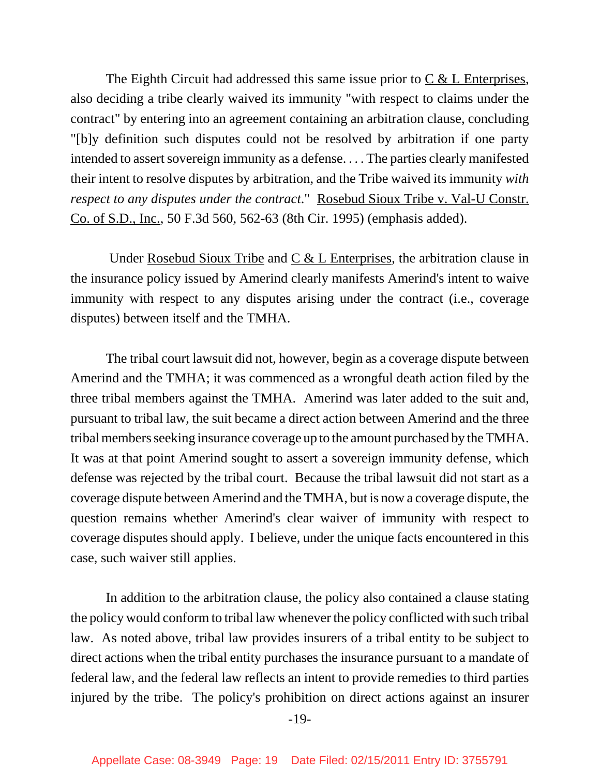The Eighth Circuit had addressed this same issue prior to  $C < L$  Enterprises, also deciding a tribe clearly waived its immunity "with respect to claims under the contract" by entering into an agreement containing an arbitration clause, concluding "[b]y definition such disputes could not be resolved by arbitration if one party intended to assert sovereign immunity as a defense. . . . The parties clearly manifested their intent to resolve disputes by arbitration, and the Tribe waived its immunity *with respect to any disputes under the contract*." Rosebud Sioux Tribe v. Val-U Constr. Co. of S.D., Inc., 50 F.3d 560, 562-63 (8th Cir. 1995) (emphasis added).

Under Rosebud Sioux Tribe and  $C & L$  Enterprises, the arbitration clause in the insurance policy issued by Amerind clearly manifests Amerind's intent to waive immunity with respect to any disputes arising under the contract (i.e., coverage disputes) between itself and the TMHA.

The tribal court lawsuit did not, however, begin as a coverage dispute between Amerind and the TMHA; it was commenced as a wrongful death action filed by the three tribal members against the TMHA. Amerind was later added to the suit and, pursuant to tribal law, the suit became a direct action between Amerind and the three tribal members seeking insurance coverage up to the amount purchased by the TMHA. It was at that point Amerind sought to assert a sovereign immunity defense, which defense was rejected by the tribal court. Because the tribal lawsuit did not start as a coverage dispute between Amerind and the TMHA, but is now a coverage dispute, the question remains whether Amerind's clear waiver of immunity with respect to coverage disputes should apply. I believe, under the unique facts encountered in this case, such waiver still applies.

In addition to the arbitration clause, the policy also contained a clause stating the policy would conform to tribal law whenever the policy conflicted with such tribal law. As noted above, tribal law provides insurers of a tribal entity to be subject to direct actions when the tribal entity purchases the insurance pursuant to a mandate of federal law, and the federal law reflects an intent to provide remedies to third parties injured by the tribe. The policy's prohibition on direct actions against an insurer

-19-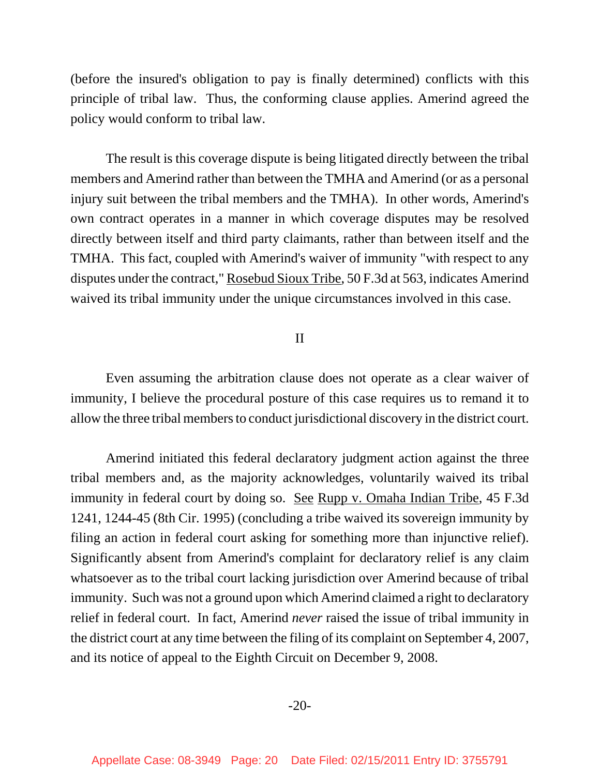(before the insured's obligation to pay is finally determined) conflicts with this principle of tribal law. Thus, the conforming clause applies. Amerind agreed the policy would conform to tribal law.

The result is this coverage dispute is being litigated directly between the tribal members and Amerind rather than between the TMHA and Amerind (or as a personal injury suit between the tribal members and the TMHA). In other words, Amerind's own contract operates in a manner in which coverage disputes may be resolved directly between itself and third party claimants, rather than between itself and the TMHA. This fact, coupled with Amerind's waiver of immunity "with respect to any disputes under the contract," Rosebud Sioux Tribe, 50 F.3d at 563, indicates Amerind waived its tribal immunity under the unique circumstances involved in this case.

#### II

Even assuming the arbitration clause does not operate as a clear waiver of immunity, I believe the procedural posture of this case requires us to remand it to allow the three tribal members to conduct jurisdictional discovery in the district court.

Amerind initiated this federal declaratory judgment action against the three tribal members and, as the majority acknowledges, voluntarily waived its tribal immunity in federal court by doing so. <u>See Rupp v. Omaha Indian Tribe</u>, 45 F.3d 1241, 1244-45 (8th Cir. 1995) (concluding a tribe waived its sovereign immunity by filing an action in federal court asking for something more than injunctive relief). Significantly absent from Amerind's complaint for declaratory relief is any claim whatsoever as to the tribal court lacking jurisdiction over Amerind because of tribal immunity. Such was not a ground upon which Amerind claimed a right to declaratory relief in federal court. In fact, Amerind *never* raised the issue of tribal immunity in the district court at any time between the filing of its complaint on September 4, 2007, and its notice of appeal to the Eighth Circuit on December 9, 2008.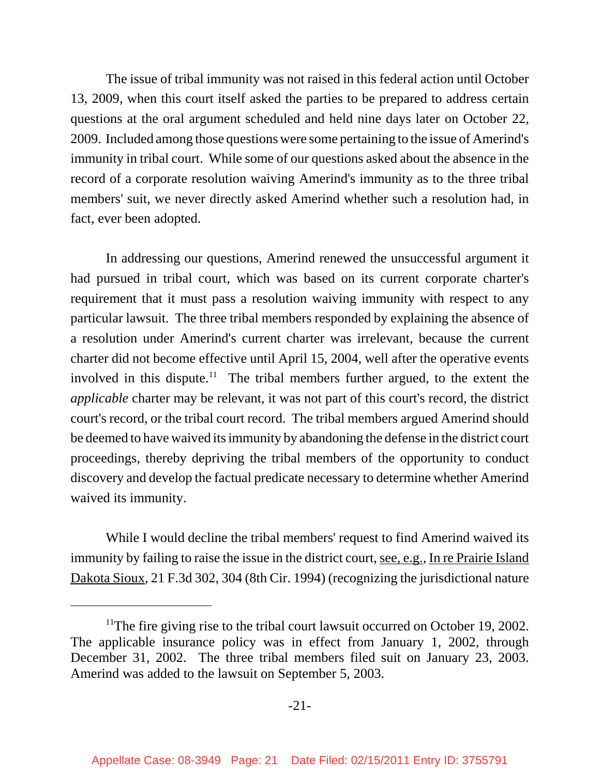The issue of tribal immunity was not raised in this federal action until October 13, 2009, when this court itself asked the parties to be prepared to address certain questions at the oral argument scheduled and held nine days later on October 22, 2009. Included among those questions were some pertaining to the issue of Amerind's immunity in tribal court. While some of our questions asked about the absence in the record of a corporate resolution waiving Amerind's immunity as to the three tribal members' suit, we never directly asked Amerind whether such a resolution had, in fact, ever been adopted.

In addressing our questions, Amerind renewed the unsuccessful argument it had pursued in tribal court, which was based on its current corporate charter's requirement that it must pass a resolution waiving immunity with respect to any particular lawsuit. The three tribal members responded by explaining the absence of a resolution under Amerind's current charter was irrelevant, because the current charter did not become effective until April 15, 2004, well after the operative events involved in this dispute.<sup>11</sup> The tribal members further argued, to the extent the *applicable* charter may be relevant, it was not part of this court's record, the district court's record, or the tribal court record. The tribal members argued Amerind should be deemed to have waived its immunity by abandoning the defense in the district court proceedings, thereby depriving the tribal members of the opportunity to conduct discovery and develop the factual predicate necessary to determine whether Amerind waived its immunity.

While I would decline the tribal members' request to find Amerind waived its immunity by failing to raise the issue in the district court, <u>see, e.g.</u>, In re Prairie Island Dakota Sioux, 21 F.3d 302, 304 (8th Cir. 1994) (recognizing the jurisdictional nature

<sup>&</sup>lt;sup>11</sup>The fire giving rise to the tribal court lawsuit occurred on October 19, 2002. The applicable insurance policy was in effect from January 1, 2002, through December 31, 2002. The three tribal members filed suit on January 23, 2003. Amerind was added to the lawsuit on September 5, 2003.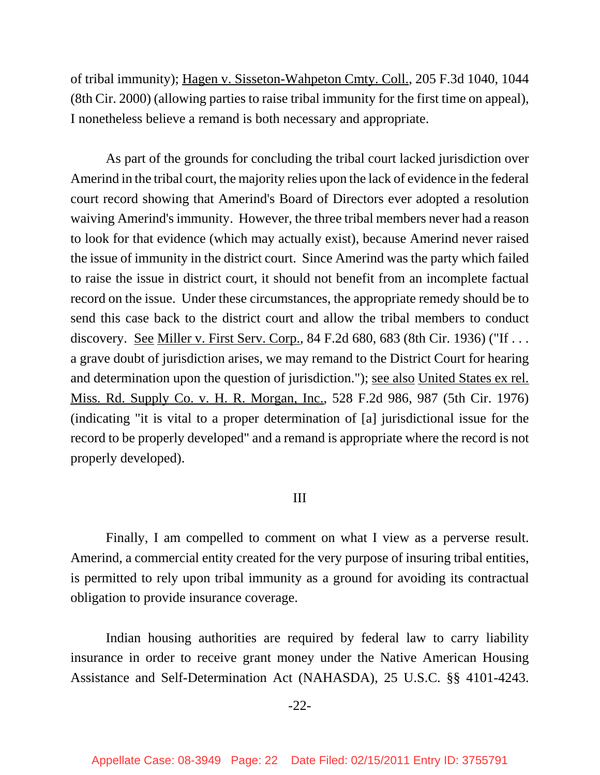of tribal immunity); Hagen v. Sisseton-Wahpeton Cmty. Coll., 205 F.3d 1040, 1044 (8th Cir. 2000) (allowing parties to raise tribal immunity for the first time on appeal), I nonetheless believe a remand is both necessary and appropriate.

As part of the grounds for concluding the tribal court lacked jurisdiction over Amerind in the tribal court, the majority relies upon the lack of evidence in the federal court record showing that Amerind's Board of Directors ever adopted a resolution waiving Amerind's immunity. However, the three tribal members never had a reason to look for that evidence (which may actually exist), because Amerind never raised the issue of immunity in the district court. Since Amerind was the party which failed to raise the issue in district court, it should not benefit from an incomplete factual record on the issue. Under these circumstances, the appropriate remedy should be to send this case back to the district court and allow the tribal members to conduct discovery. See Miller v. First Serv. Corp., 84 F.2d 680, 683 (8th Cir. 1936) ("If . . . a grave doubt of jurisdiction arises, we may remand to the District Court for hearing and determination upon the question of jurisdiction."); see also United States ex rel. Miss. Rd. Supply Co. v. H. R. Morgan, Inc., 528 F.2d 986, 987 (5th Cir. 1976) (indicating "it is vital to a proper determination of [a] jurisdictional issue for the record to be properly developed" and a remand is appropriate where the record is not properly developed).

#### III

Finally, I am compelled to comment on what I view as a perverse result. Amerind, a commercial entity created for the very purpose of insuring tribal entities, is permitted to rely upon tribal immunity as a ground for avoiding its contractual obligation to provide insurance coverage.

Indian housing authorities are required by federal law to carry liability insurance in order to receive grant money under the Native American Housing Assistance and Self-Determination Act (NAHASDA), 25 U.S.C. §§ 4101-4243.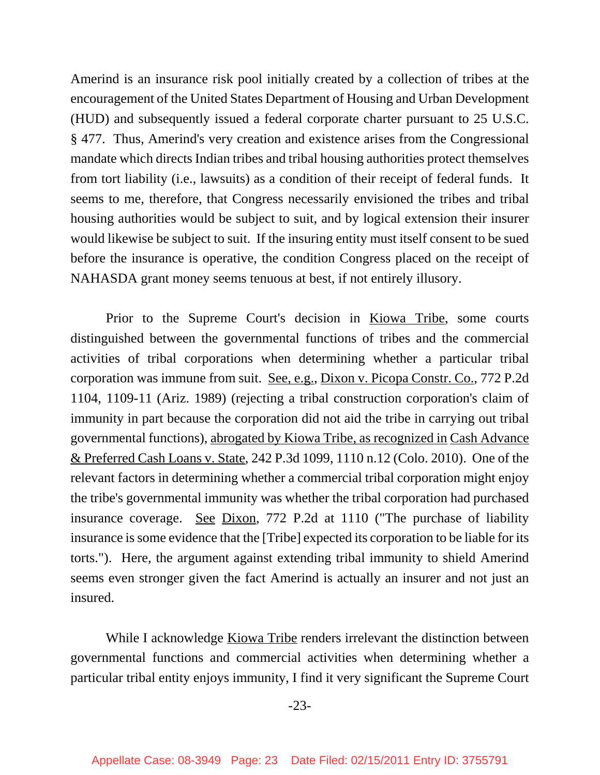Amerind is an insurance risk pool initially created by a collection of tribes at the encouragement of the United States Department of Housing and Urban Development (HUD) and subsequently issued a federal corporate charter pursuant to 25 U.S.C. § 477. Thus, Amerind's very creation and existence arises from the Congressional mandate which directs Indian tribes and tribal housing authorities protect themselves from tort liability (i.e., lawsuits) as a condition of their receipt of federal funds. It seems to me, therefore, that Congress necessarily envisioned the tribes and tribal housing authorities would be subject to suit, and by logical extension their insurer would likewise be subject to suit. If the insuring entity must itself consent to be sued before the insurance is operative, the condition Congress placed on the receipt of NAHASDA grant money seems tenuous at best, if not entirely illusory.

Prior to the Supreme Court's decision in Kiowa Tribe, some courts distinguished between the governmental functions of tribes and the commercial activities of tribal corporations when determining whether a particular tribal corporation was immune from suit. See, e.g., Dixon v. Picopa Constr. Co., 772 P.2d 1104, 1109-11 (Ariz. 1989) (rejecting a tribal construction corporation's claim of immunity in part because the corporation did not aid the tribe in carrying out tribal governmental functions), abrogated by Kiowa Tribe, as recognized in Cash Advance & Preferred Cash Loans v. State, 242 P.3d 1099, 1110 n.12 (Colo. 2010). One of the relevant factors in determining whether a commercial tribal corporation might enjoy the tribe's governmental immunity was whether the tribal corporation had purchased insurance coverage. See Dixon, 772 P.2d at 1110 ("The purchase of liability insurance is some evidence that the [Tribe] expected its corporation to be liable for its torts."). Here, the argument against extending tribal immunity to shield Amerind seems even stronger given the fact Amerind is actually an insurer and not just an insured.

While I acknowledge Kiowa Tribe renders irrelevant the distinction between governmental functions and commercial activities when determining whether a particular tribal entity enjoys immunity, I find it very significant the Supreme Court

-23-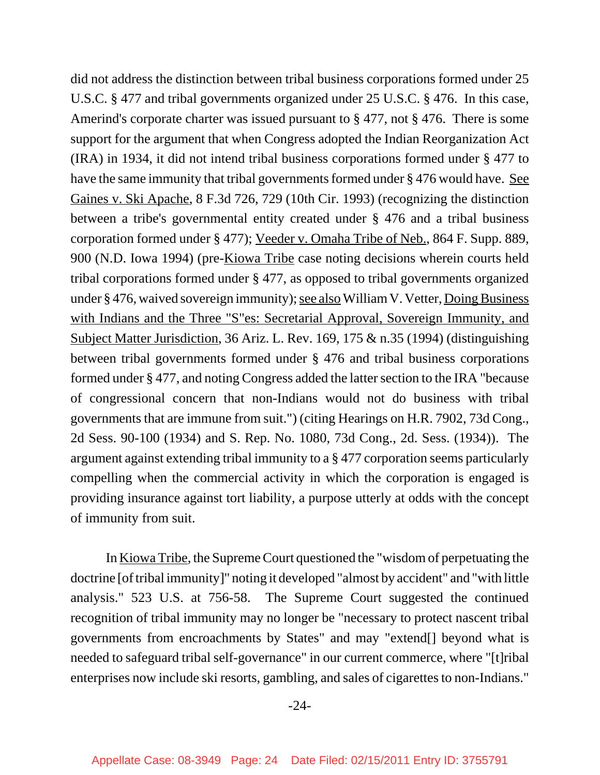did not address the distinction between tribal business corporations formed under 25 U.S.C. § 477 and tribal governments organized under 25 U.S.C. § 476. In this case, Amerind's corporate charter was issued pursuant to § 477, not § 476. There is some support for the argument that when Congress adopted the Indian Reorganization Act (IRA) in 1934, it did not intend tribal business corporations formed under § 477 to have the same immunity that tribal governments formed under § 476 would have. See Gaines v. Ski Apache, 8 F.3d 726, 729 (10th Cir. 1993) (recognizing the distinction between a tribe's governmental entity created under § 476 and a tribal business corporation formed under § 477); Veeder v. Omaha Tribe of Neb., 864 F. Supp. 889, 900 (N.D. Iowa 1994) (pre-Kiowa Tribe case noting decisions wherein courts held tribal corporations formed under § 477, as opposed to tribal governments organized under § 476, waived sovereign immunity); see also William V. Vetter, Doing Business with Indians and the Three "S"es: Secretarial Approval, Sovereign Immunity, and Subject Matter Jurisdiction, 36 Ariz. L. Rev. 169, 175 & n.35 (1994) (distinguishing between tribal governments formed under § 476 and tribal business corporations formed under § 477, and noting Congress added the latter section to the IRA "because of congressional concern that non-Indians would not do business with tribal governments that are immune from suit.") (citing Hearings on H.R. 7902, 73d Cong., 2d Sess. 90-100 (1934) and S. Rep. No. 1080, 73d Cong., 2d. Sess. (1934)). The argument against extending tribal immunity to a § 477 corporation seems particularly compelling when the commercial activity in which the corporation is engaged is providing insurance against tort liability, a purpose utterly at odds with the concept of immunity from suit.

In Kiowa Tribe, the Supreme Court questioned the "wisdom of perpetuating the doctrine [of tribal immunity]" noting it developed "almost by accident" and "with little analysis." 523 U.S. at 756-58. The Supreme Court suggested the continued recognition of tribal immunity may no longer be "necessary to protect nascent tribal governments from encroachments by States" and may "extend[] beyond what is needed to safeguard tribal self-governance" in our current commerce, where "[t]ribal enterprises now include ski resorts, gambling, and sales of cigarettes to non-Indians."

-24-